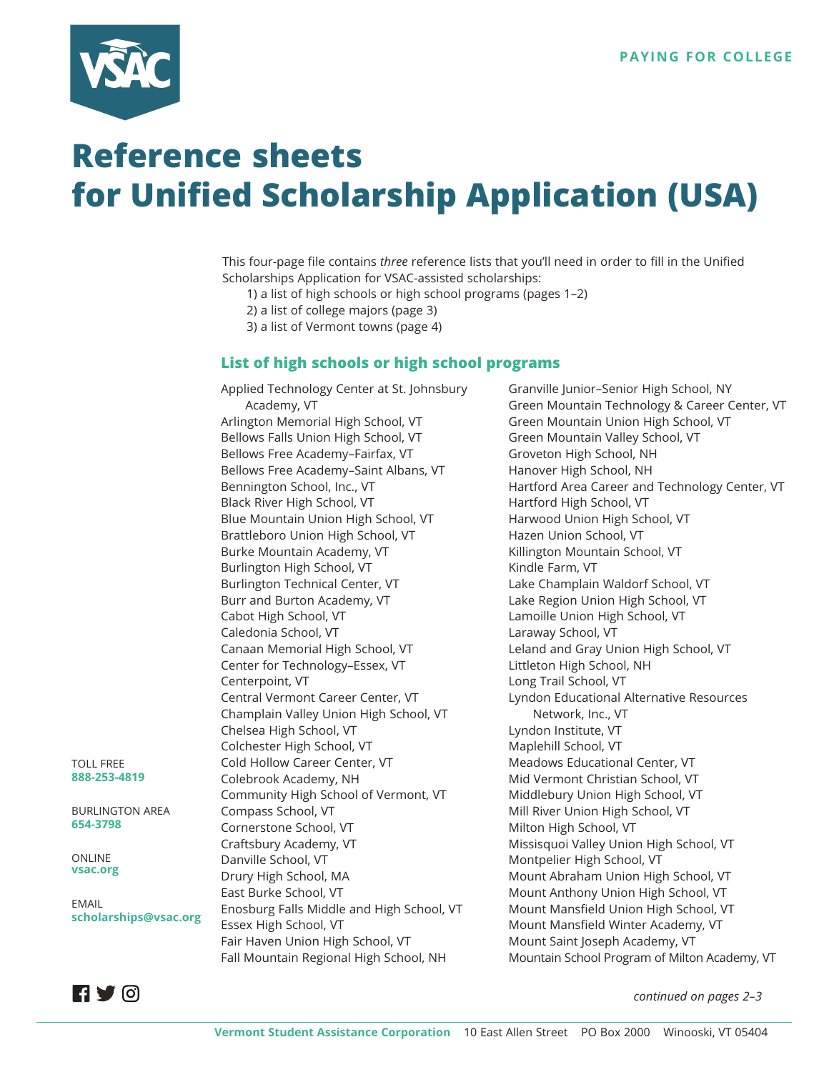

## **Reference sheets for Unified Scholarship Application (USA)**

This four-page file contains *three* reference lists that you'll need in order to fill in the Unified Scholarships Application for VSAC-assisted scholarships:

- 1) a list of high schools or high school programs (pages 1–2)
- 2) a list of college majors (page 3)
- 3) a list of Vermont towns (page 4)

## **List of high schools or high school programs**

Applied Technology Center at St. Johnsbury Academy, VT Arlington Memorial High School, VT Bellows Falls Union High School, VT Bellows Free Academy–Fairfax, VT Bellows Free Academy–Saint Albans, VT Bennington School, Inc., VT Black River High School, VT Blue Mountain Union High School, VT Brattleboro Union High School, VT Burke Mountain Academy, VT Burlington High School, VT Burlington Technical Center, VT Burr and Burton Academy, VT Cabot High School, VT Caledonia School, VT Canaan Memorial High School, VT Center for Technology–Essex, VT Centerpoint, VT Central Vermont Career Center, VT Champlain Valley Union High School, VT Chelsea High School, VT Colchester High School, VT Cold Hollow Career Center, VT Colebrook Academy, NH Community High School of Vermont, VT Compass School, VT Cornerstone School, VT Craftsbury Academy, VT Danville School, VT Drury High School, MA East Burke School, VT Enosburg Falls Middle and High School, VT Essex High School, VT Fair Haven Union High School, VT Fall Mountain Regional High School, NH

Granville Junior–Senior High School, NY Green Mountain Technology & Career Center, VT Green Mountain Union High School, VT Green Mountain Valley School, VT Groveton High School, NH Hanover High School, NH Hartford Area Career and Technology Center, VT Hartford High School, VT Harwood Union High School, VT Hazen Union School, VT Killington Mountain School, VT Kindle Farm, VT Lake Champlain Waldorf School, VT Lake Region Union High School, VT Lamoille Union High School, VT Laraway School, VT Leland and Gray Union High School, VT Littleton High School, NH Long Trail School, VT Lyndon Educational Alternative Resources Network, Inc., VT Lyndon Institute, VT Maplehill School, VT Meadows Educational Center, VT Mid Vermont Christian School, VT Middlebury Union High School, VT Mill River Union High School, VT Milton High School, VT Missisquoi Valley Union High School, VT Montpelier High School, VT Mount Abraham Union High School, VT Mount Anthony Union High School, VT Mount Mansfield Union High School, VT Mount Mansfield Winter Academy, VT Mount Saint Joseph Academy, VT Mountain School Program of Milton Academy, VT

TOLL FREE **888-253-4819**

BURLINGTON AREA **654-3798**

ONLINE **vsac.org**

EMAIL **scholarships@vsac.org**



*continued on pages 2–3*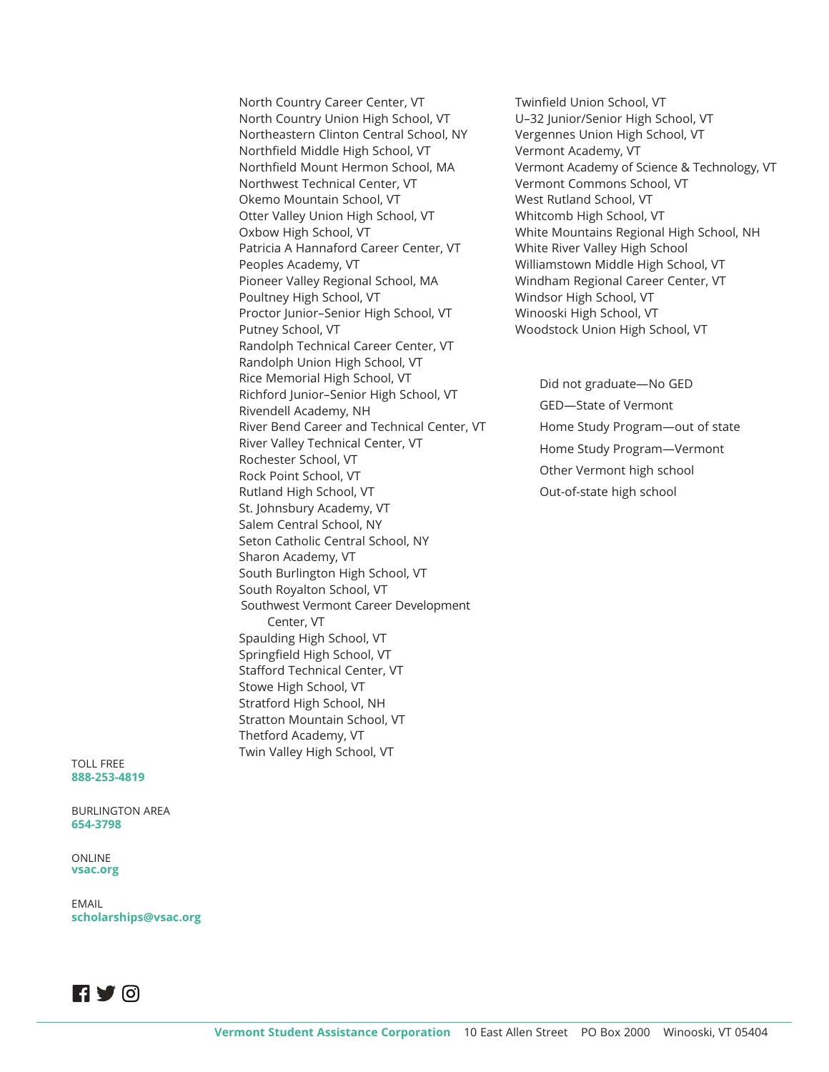North Country Career Center, VT North Country Union High School, VT Northeastern Clinton Central School, NY Northfield Middle High School, VT Northfield Mount Hermon School, MA Northwest Technical Center, VT Okemo Mountain School, VT Otter Valley Union High School, VT Oxbow High School, VT Patricia A Hannaford Career Center, VT Peoples Academy, VT Pioneer Valley Regional School, MA Poultney High School, VT Proctor Junior–Senior High School, VT Putney School, VT Randolph Technical Career Center, VT Randolph Union High School, VT Rice Memorial High School, VT Richford Junior–Senior High School, VT Rivendell Academy, NH River Bend Career and Technical Center, VT River Valley Technical Center, VT Rochester School, VT Rock Point School, VT Rutland High School, VT St. Johnsbury Academy, VT Salem Central School, NY Seton Catholic Central School, NY Sharon Academy, VT South Burlington High School, VT South Royalton School, VT Southwest Vermont Career Development Center, VT Spaulding High School, VT Springfield High School, VT Stafford Technical Center, VT Stowe High School, VT Stratford High School, NH Stratton Mountain School, VT Thetford Academy, VT Twin Valley High School, VT

Twinfield Union School, VT U–32 Junior/Senior High School, VT Vergennes Union High School, VT Vermont Academy, VT Vermont Academy of Science & Technology, VT Vermont Commons School, VT West Rutland School, VT Whitcomb High School, VT White Mountains Regional High School, NH White River Valley High School Williamstown Middle High School, VT Windham Regional Career Center, VT Windsor High School, VT Winooski High School, VT Woodstock Union High School, VT

Did not graduate—No GED GED—State of Vermont Home Study Program—out of state Home Study Program—Vermont Other Vermont high school Out-of-state high school

TOLL FREE **888-253-4819**

BURLINGTON AREA **654-3798**

ONLINE **vsac.org**

EMAIL **scholarships@vsac.org**

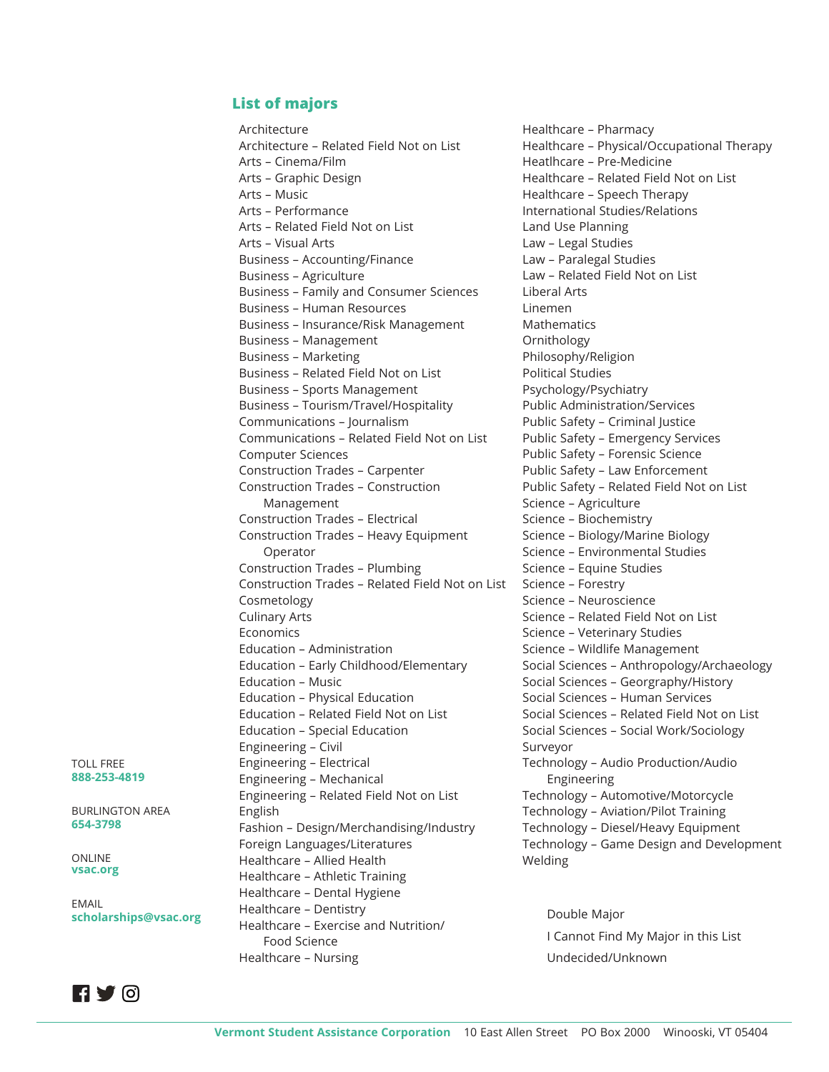## **List of majors**

Architecture Architecture – Related Field Not on List Arts – Cinema/Film Arts – Graphic Design Arts – Music Arts – Performance Arts – Related Field Not on List Arts – Visual Arts Business – Accounting/Finance Business – Agriculture Business – Family and Consumer Sciences Business – Human Resources Business – Insurance/Risk Management Business – Management Business – Marketing Business – Related Field Not on List Business – Sports Management Business – Tourism/Travel/Hospitality Communications – Journalism Communications – Related Field Not on List Computer Sciences Construction Trades – Carpenter Construction Trades – Construction Management Construction Trades – Electrical Construction Trades – Heavy Equipment Operator Construction Trades – Plumbing Construction Trades – Related Field Not on List Cosmetology Culinary Arts Economics Education – Administration Education – Early Childhood/Elementary Education – Music Education – Physical Education Education – Related Field Not on List Education – Special Education Engineering – Civil Engineering – Electrical Engineering – Mechanical Engineering – Related Field Not on List English Fashion – Design/Merchandising/Industry Foreign Languages/Literatures Healthcare – Allied Health Healthcare – Athletic Training Healthcare – Dental Hygiene Healthcare – Dentistry Healthcare – Exercise and Nutrition/ Food Science Healthcare – Nursing

Healthcare – Pharmacy Healthcare – Physical/Occupational Therapy Heatlhcare – Pre-Medicine Healthcare – Related Field Not on List Healthcare – Speech Therapy International Studies/Relations Land Use Planning Law – Legal Studies Law – Paralegal Studies Law – Related Field Not on List Liberal Arts Linemen Mathematics Ornithology Philosophy/Religion Political Studies Psychology/Psychiatry Public Administration/Services Public Safety – Criminal Justice Public Safety – Emergency Services Public Safety – Forensic Science Public Safety – Law Enforcement Public Safety – Related Field Not on List Science – Agriculture Science – Biochemistry Science – Biology/Marine Biology Science – Environmental Studies Science – Equine Studies Science – Forestry Science – Neuroscience Science – Related Field Not on List Science – Veterinary Studies Science – Wildlife Management Social Sciences – Anthropology/Archaeology Social Sciences – Georgraphy/History Social Sciences – Human Services Social Sciences – Related Field Not on List Social Sciences – Social Work/Sociology Surveyor Technology – Audio Production/Audio Engineering Technology – Automotive/Motorcycle Technology – Aviation/Pilot Training Technology – Diesel/Heavy Equipment Technology – Game Design and Development Welding

Double Major I Cannot Find My Major in this List Undecided/Unknown

TOLL FREE **888-253-4819**

BURLINGTON AREA **654-3798**

ONLINE **vsac.org**

EMAIL **scholarships@vsac.org**